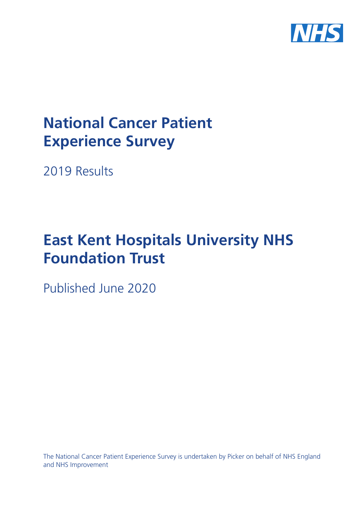

# **National Cancer Patient Experience Survey**

2019 Results

# **East Kent Hospitals University NHS Foundation Trust**

Published June 2020

The National Cancer Patient Experience Survey is undertaken by Picker on behalf of NHS England and NHS Improvement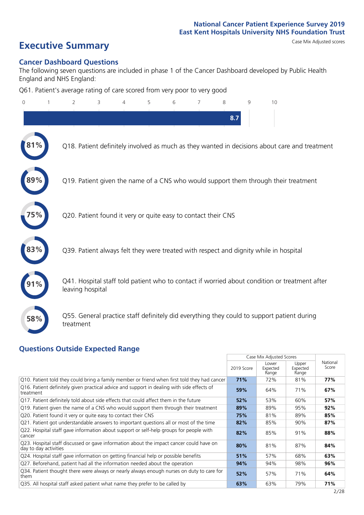# **Executive Summary** Case Mix Adjusted scores

#### **Cancer Dashboard Questions**

The following seven questions are included in phase 1 of the Cancer Dashboard developed by Public Health England and NHS England:

Q61. Patient's average rating of care scored from very poor to very good

| $\mathbf{0}$ | 2                                                             | 3 | 5 | 6 | 8   | q | 10                                                                                            |  |
|--------------|---------------------------------------------------------------|---|---|---|-----|---|-----------------------------------------------------------------------------------------------|--|
|              |                                                               |   |   |   | 8.7 |   |                                                                                               |  |
|              |                                                               |   |   |   |     |   | Q18. Patient definitely involved as much as they wanted in decisions about care and treatment |  |
|              |                                                               |   |   |   |     |   | Q19. Patient given the name of a CNS who would support them through their treatment           |  |
|              | Q20. Patient found it very or quite easy to contact their CNS |   |   |   |     |   |                                                                                               |  |
|              |                                                               |   |   |   |     |   | Q39. Patient always felt they were treated with respect and dignity while in hospital         |  |
|              | leaving hospital                                              |   |   |   |     |   | Q41. Hospital staff told patient who to contact if worried about condition or treatment after |  |
| 58%          | treatment                                                     |   |   |   |     |   | Q55. General practice staff definitely did everything they could to support patient during    |  |
|              | Questions Qutside Expected Range                              |   |   |   |     |   |                                                                                               |  |

#### **Questions Outside Expected Range**

|                                                                                                                  |            | Case Mix Adjusted Scores   |                            |                   |
|------------------------------------------------------------------------------------------------------------------|------------|----------------------------|----------------------------|-------------------|
|                                                                                                                  | 2019 Score | Lower<br>Expected<br>Range | Upper<br>Expected<br>Range | National<br>Score |
| Q10. Patient told they could bring a family member or friend when first told they had cancer                     | 71%        | 72%                        | 81%                        | 77%               |
| Q16. Patient definitely given practical advice and support in dealing with side effects of<br>treatment          | 59%        | 64%                        | 71%                        | 67%               |
| Q17. Patient definitely told about side effects that could affect them in the future                             | 52%        | 53%                        | 60%                        | 57%               |
| Q19. Patient given the name of a CNS who would support them through their treatment                              | 89%        | 89%                        | 95%                        | 92%               |
| Q20. Patient found it very or quite easy to contact their CNS                                                    | 75%        | 81%                        | 89%                        | 85%               |
| Q21. Patient got understandable answers to important questions all or most of the time                           | 82%        | 85%                        | 90%                        | 87%               |
| Q22. Hospital staff gave information about support or self-help groups for people with<br>cancer                 | 82%        | 85%                        | 91%                        | 88%               |
| Q23. Hospital staff discussed or gave information about the impact cancer could have on<br>day to day activities | 80%        | 81%                        | 87%                        | 84%               |
| Q24. Hospital staff gave information on getting financial help or possible benefits                              | 51%        | 57%                        | 68%                        | 63%               |
| Q27. Beforehand, patient had all the information needed about the operation                                      | 94%        | 94%                        | 98%                        | 96%               |
| Q34. Patient thought there were always or nearly always enough nurses on duty to care for<br>them                | 52%        | 57%                        | 71%                        | 64%               |
| Q35. All hospital staff asked patient what name they prefer to be called by                                      | 63%        | 63%                        | 79%                        | 71%               |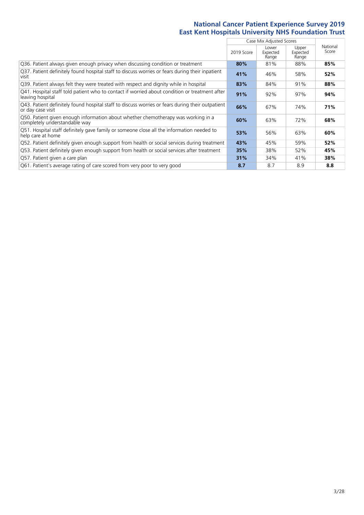|                                                                                                                       |            | Case Mix Adjusted Scores   |                            |                   |
|-----------------------------------------------------------------------------------------------------------------------|------------|----------------------------|----------------------------|-------------------|
|                                                                                                                       | 2019 Score | Lower<br>Expected<br>Range | Upper<br>Expected<br>Range | National<br>Score |
| Q36. Patient always given enough privacy when discussing condition or treatment                                       | 80%        | 81%                        | 88%                        | 85%               |
| Q37. Patient definitely found hospital staff to discuss worries or fears during their inpatient<br>visit              | 41%        | 46%                        | 58%                        | 52%               |
| Q39. Patient always felt they were treated with respect and dignity while in hospital                                 | 83%        | 84%                        | 91%                        | 88%               |
| Q41. Hospital staff told patient who to contact if worried about condition or treatment after<br>leaving hospital     | 91%        | 92%                        | 97%                        | 94%               |
| Q43. Patient definitely found hospital staff to discuss worries or fears during their outpatient<br>or day case visit | 66%        | 67%                        | 74%                        | 71%               |
| Q50. Patient given enough information about whether chemotherapy was working in a<br>completely understandable way    | 60%        | 63%                        | 72%                        | 68%               |
| Q51. Hospital staff definitely gave family or someone close all the information needed to<br>help care at home        | 53%        | 56%                        | 63%                        | 60%               |
| Q52. Patient definitely given enough support from health or social services during treatment                          | 43%        | 45%                        | 59%                        | 52%               |
| Q53. Patient definitely given enough support from health or social services after treatment                           | 35%        | 38%                        | 52%                        | 45%               |
| Q57. Patient given a care plan                                                                                        | 31%        | 34%                        | 41%                        | 38%               |
| Q61. Patient's average rating of care scored from very poor to very good                                              | 8.7        | 8.7                        | 8.9                        | 8.8               |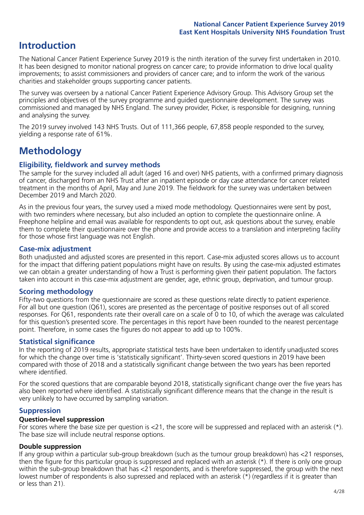## **Introduction**

The National Cancer Patient Experience Survey 2019 is the ninth iteration of the survey first undertaken in 2010. It has been designed to monitor national progress on cancer care; to provide information to drive local quality improvements; to assist commissioners and providers of cancer care; and to inform the work of the various charities and stakeholder groups supporting cancer patients.

The survey was overseen by a national Cancer Patient Experience Advisory Group. This Advisory Group set the principles and objectives of the survey programme and guided questionnaire development. The survey was commissioned and managed by NHS England. The survey provider, Picker, is responsible for designing, running and analysing the survey.

The 2019 survey involved 143 NHS Trusts. Out of 111,366 people, 67,858 people responded to the survey, yielding a response rate of 61%.

# **Methodology**

#### **Eligibility, eldwork and survey methods**

The sample for the survey included all adult (aged 16 and over) NHS patients, with a confirmed primary diagnosis of cancer, discharged from an NHS Trust after an inpatient episode or day case attendance for cancer related treatment in the months of April, May and June 2019. The fieldwork for the survey was undertaken between December 2019 and March 2020.

As in the previous four years, the survey used a mixed mode methodology. Questionnaires were sent by post, with two reminders where necessary, but also included an option to complete the questionnaire online. A Freephone helpline and email was available for respondents to opt out, ask questions about the survey, enable them to complete their questionnaire over the phone and provide access to a translation and interpreting facility for those whose first language was not English.

#### **Case-mix adjustment**

Both unadjusted and adjusted scores are presented in this report. Case-mix adjusted scores allows us to account for the impact that differing patient populations might have on results. By using the case-mix adjusted estimates we can obtain a greater understanding of how a Trust is performing given their patient population. The factors taken into account in this case-mix adjustment are gender, age, ethnic group, deprivation, and tumour group.

#### **Scoring methodology**

Fifty-two questions from the questionnaire are scored as these questions relate directly to patient experience. For all but one question (Q61), scores are presented as the percentage of positive responses out of all scored responses. For Q61, respondents rate their overall care on a scale of 0 to 10, of which the average was calculated for this question's presented score. The percentages in this report have been rounded to the nearest percentage point. Therefore, in some cases the figures do not appear to add up to 100%.

#### **Statistical significance**

In the reporting of 2019 results, appropriate statistical tests have been undertaken to identify unadjusted scores for which the change over time is 'statistically significant'. Thirty-seven scored questions in 2019 have been compared with those of 2018 and a statistically significant change between the two years has been reported where identified.

For the scored questions that are comparable beyond 2018, statistically significant change over the five years has also been reported where identified. A statistically significant difference means that the change in the result is very unlikely to have occurred by sampling variation.

#### **Suppression**

#### **Question-level suppression**

For scores where the base size per question is  $<$ 21, the score will be suppressed and replaced with an asterisk (\*). The base size will include neutral response options.

#### **Double suppression**

If any group within a particular sub-group breakdown (such as the tumour group breakdown) has <21 responses, then the figure for this particular group is suppressed and replaced with an asterisk (\*). If there is only one group within the sub-group breakdown that has <21 respondents, and is therefore suppressed, the group with the next lowest number of respondents is also supressed and replaced with an asterisk (\*) (regardless if it is greater than or less than 21).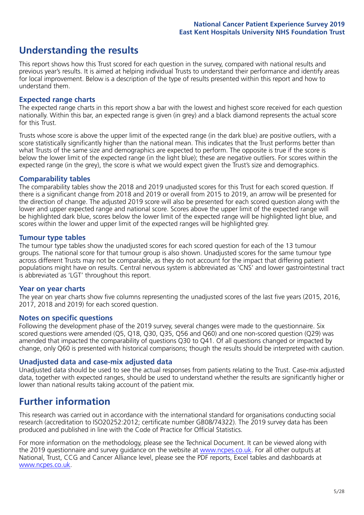## **Understanding the results**

This report shows how this Trust scored for each question in the survey, compared with national results and previous year's results. It is aimed at helping individual Trusts to understand their performance and identify areas for local improvement. Below is a description of the type of results presented within this report and how to understand them.

#### **Expected range charts**

The expected range charts in this report show a bar with the lowest and highest score received for each question nationally. Within this bar, an expected range is given (in grey) and a black diamond represents the actual score for this Trust.

Trusts whose score is above the upper limit of the expected range (in the dark blue) are positive outliers, with a score statistically significantly higher than the national mean. This indicates that the Trust performs better than what Trusts of the same size and demographics are expected to perform. The opposite is true if the score is below the lower limit of the expected range (in the light blue); these are negative outliers. For scores within the expected range (in the grey), the score is what we would expect given the Trust's size and demographics.

#### **Comparability tables**

The comparability tables show the 2018 and 2019 unadjusted scores for this Trust for each scored question. If there is a significant change from 2018 and 2019 or overall from 2015 to 2019, an arrow will be presented for the direction of change. The adjusted 2019 score will also be presented for each scored question along with the lower and upper expected range and national score. Scores above the upper limit of the expected range will be highlighted dark blue, scores below the lower limit of the expected range will be highlighted light blue, and scores within the lower and upper limit of the expected ranges will be highlighted grey.

#### **Tumour type tables**

The tumour type tables show the unadjusted scores for each scored question for each of the 13 tumour groups. The national score for that tumour group is also shown. Unadjusted scores for the same tumour type across different Trusts may not be comparable, as they do not account for the impact that differing patient populations might have on results. Central nervous system is abbreviated as 'CNS' and lower gastrointestinal tract is abbreviated as 'LGT' throughout this report.

#### **Year on year charts**

The year on year charts show five columns representing the unadjusted scores of the last five years (2015, 2016, 2017, 2018 and 2019) for each scored question.

#### **Notes on specific questions**

Following the development phase of the 2019 survey, several changes were made to the questionnaire. Six scored questions were amended (Q5, Q18, Q30, Q35, Q56 and Q60) and one non-scored question (Q29) was amended that impacted the comparability of questions Q30 to Q41. Of all questions changed or impacted by change, only Q60 is presented with historical comparisons; though the results should be interpreted with caution.

#### **Unadjusted data and case-mix adjusted data**

Unadjusted data should be used to see the actual responses from patients relating to the Trust. Case-mix adjusted data, together with expected ranges, should be used to understand whether the results are significantly higher or lower than national results taking account of the patient mix.

### **Further information**

This research was carried out in accordance with the international standard for organisations conducting social research (accreditation to ISO20252:2012; certificate number GB08/74322). The 2019 survey data has been produced and published in line with the Code of Practice for Official Statistics.

For more information on the methodology, please see the Technical Document. It can be viewed along with the 2019 questionnaire and survey quidance on the website at [www.ncpes.co.uk](https://www.ncpes.co.uk/supporting-documents). For all other outputs at National, Trust, CCG and Cancer Alliance level, please see the PDF reports, Excel tables and dashboards at [www.ncpes.co.uk.](https://www.ncpes.co.uk/current-results)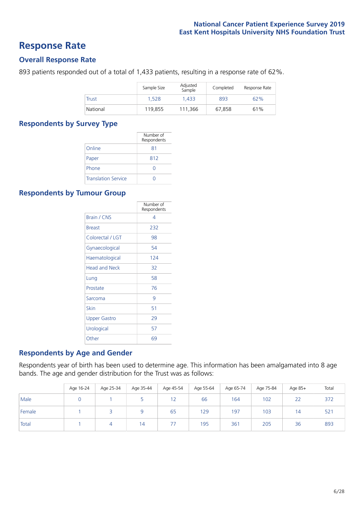### **Response Rate**

#### **Overall Response Rate**

893 patients responded out of a total of 1,433 patients, resulting in a response rate of 62%.

|          | Sample Size | Adjusted<br>Sample | Completed | Response Rate |
|----------|-------------|--------------------|-----------|---------------|
| Trust    | 1.528       | 1.433              | 893       | 62%           |
| National | 119.855     | 111.366            | 67.858    | 61%           |

#### **Respondents by Survey Type**

|                            | Number of<br>Respondents |
|----------------------------|--------------------------|
| Online                     | 81                       |
| Paper                      | 812                      |
| Phone                      |                          |
| <b>Translation Service</b> |                          |

#### **Respondents by Tumour Group**

|                      | Number of<br>Respondents |
|----------------------|--------------------------|
| <b>Brain / CNS</b>   | 4                        |
| <b>Breast</b>        | 232                      |
| Colorectal / LGT     | 98                       |
| Gynaecological       | 54                       |
| Haematological       | 124                      |
| <b>Head and Neck</b> | 32                       |
| Lung                 | 58                       |
| Prostate             | 76                       |
| Sarcoma              | 9                        |
| Skin                 | 51                       |
| <b>Upper Gastro</b>  | 29                       |
| Urological           | 57                       |
| Other                | 69                       |

#### **Respondents by Age and Gender**

Respondents year of birth has been used to determine age. This information has been amalgamated into 8 age bands. The age and gender distribution for the Trust was as follows:

|        | Age 16-24 | Age 25-34 | Age 35-44 | Age 45-54 | Age 55-64 | Age 65-74 | Age 75-84 | Age 85+        | Total |
|--------|-----------|-----------|-----------|-----------|-----------|-----------|-----------|----------------|-------|
| Male   |           |           |           | 12        | 66        | 164       | 102       | 22             | 372   |
| Female |           |           |           | 65        | 129       | 197       | 103       | $\overline{4}$ | 521   |
| Total  |           |           | 14        |           | 195       | 361       | 205       | 36             | 893   |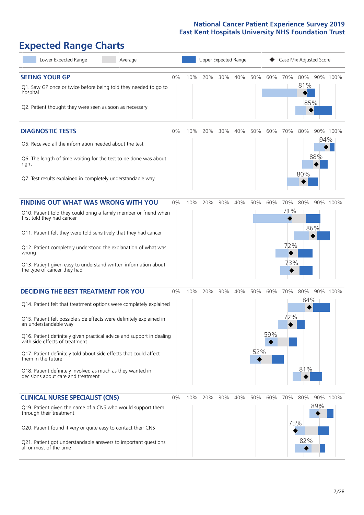# **Expected Range Charts**

| Lower Expected Range<br>Average                                                                                                                                                                                                                                                                                                                                                                                                                                                                                             |       |     | Upper Expected Range |     |     |            |            | Case Mix Adjusted Score  |                   |            |          |
|-----------------------------------------------------------------------------------------------------------------------------------------------------------------------------------------------------------------------------------------------------------------------------------------------------------------------------------------------------------------------------------------------------------------------------------------------------------------------------------------------------------------------------|-------|-----|----------------------|-----|-----|------------|------------|--------------------------|-------------------|------------|----------|
| <b>SEEING YOUR GP</b><br>Q1. Saw GP once or twice before being told they needed to go to<br>hospital<br>Q2. Patient thought they were seen as soon as necessary                                                                                                                                                                                                                                                                                                                                                             | $0\%$ | 10% | 20%                  | 30% | 40% | 50%        | 60%        | 70%                      | 80%<br>81%<br>85% |            | 90% 100% |
| <b>DIAGNOSTIC TESTS</b><br>Q5. Received all the information needed about the test<br>Q6. The length of time waiting for the test to be done was about<br>right<br>Q7. Test results explained in completely understandable way                                                                                                                                                                                                                                                                                               | 0%    | 10% | 20%                  | 30% | 40% | 50%        | 60%        | 70%                      | 80%<br>80%        | 94%<br>88% | 90% 100% |
| <b>FINDING OUT WHAT WAS WRONG WITH YOU</b><br>Q10. Patient told they could bring a family member or friend when<br>first told they had cancer<br>Q11. Patient felt they were told sensitively that they had cancer<br>Q12. Patient completely understood the explanation of what was<br>wrong<br>Q13. Patient given easy to understand written information about<br>the type of cancer they had                                                                                                                             | 0%    | 10% | 20%                  | 30% | 40% | 50%        | 60%        | 70%<br>71%<br>72%<br>73% | 80%               | 86%        | 90% 100% |
| <b>DECIDING THE BEST TREATMENT FOR YOU</b><br>Q14. Patient felt that treatment options were completely explained<br>Q15. Patient felt possible side effects were definitely explained in<br>an understandable way<br>Q16. Patient definitely given practical advice and support in dealing<br>with side effects of treatment<br>Q17. Patient definitely told about side effects that could affect<br>them in the future<br>Q18. Patient definitely involved as much as they wanted in<br>decisions about care and treatment | $0\%$ | 10% | 20%                  | 30% | 40% | 50%<br>52% | 60%<br>59% | 70%<br>72%               | 80%<br>84%<br>81% |            | 90% 100% |
| <b>CLINICAL NURSE SPECIALIST (CNS)</b><br>Q19. Patient given the name of a CNS who would support them<br>through their treatment<br>Q20. Patient found it very or quite easy to contact their CNS<br>Q21. Patient got understandable answers to important questions<br>all or most of the time                                                                                                                                                                                                                              | $0\%$ | 10% | 20%                  | 30% | 40% | 50%        | 60%        | 70%<br>75%               | 80%<br>82%        | 89%        | 90% 100% |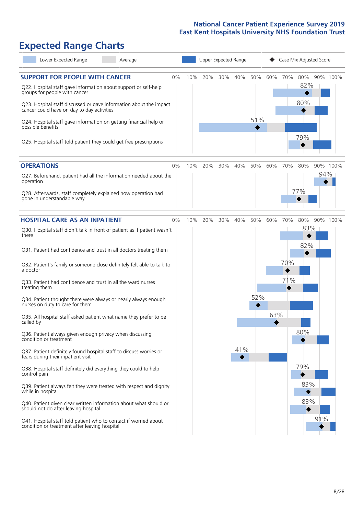# **Expected Range Charts**

| Lower Expected Range<br>Average                                                                                                                   |    |     |     | Upper Expected Range |     |     |     |         | Case Mix Adjusted Score |     |          |
|---------------------------------------------------------------------------------------------------------------------------------------------------|----|-----|-----|----------------------|-----|-----|-----|---------|-------------------------|-----|----------|
| <b>SUPPORT FOR PEOPLE WITH CANCER</b><br>Q22. Hospital staff gave information about support or self-help                                          | 0% | 10% | 20% | 30%                  | 40% | 50% |     | 60% 70% | 80%<br>82%              |     | 90% 100% |
| groups for people with cancer<br>Q23. Hospital staff discussed or gave information about the impact<br>cancer could have on day to day activities |    |     |     |                      |     |     |     |         | 80%                     |     |          |
| Q24. Hospital staff gave information on getting financial help or<br>possible benefits                                                            |    |     |     |                      |     | 51% |     |         |                         |     |          |
| Q25. Hospital staff told patient they could get free prescriptions                                                                                |    |     |     |                      |     |     |     |         | 79%                     |     |          |
| <b>OPERATIONS</b>                                                                                                                                 | 0% | 10% | 20% | 30%                  | 40% | 50% | 60% | 70%     | 80%                     |     | 90% 100% |
| Q27. Beforehand, patient had all the information needed about the<br>operation                                                                    |    |     |     |                      |     |     |     |         |                         | 94% |          |
| Q28. Afterwards, staff completely explained how operation had<br>gone in understandable way                                                       |    |     |     |                      |     |     |     |         | 77%                     |     |          |
| <b>HOSPITAL CARE AS AN INPATIENT</b>                                                                                                              | 0% | 10% | 20% | 30%                  | 40% | 50% | 60% | 70%     | 80%                     |     | 90% 100% |
| Q30. Hospital staff didn't talk in front of patient as if patient wasn't<br>there                                                                 |    |     |     |                      |     |     |     |         | 83%                     |     |          |
| Q31. Patient had confidence and trust in all doctors treating them                                                                                |    |     |     |                      |     |     |     |         | 82%                     |     |          |
| Q32. Patient's family or someone close definitely felt able to talk to<br>a doctor                                                                |    |     |     |                      |     |     |     | 70%     |                         |     |          |
| Q33. Patient had confidence and trust in all the ward nurses<br>treating them                                                                     |    |     |     |                      |     |     |     | 71%     |                         |     |          |
| Q34. Patient thought there were always or nearly always enough<br>nurses on duty to care for them                                                 |    |     |     |                      |     | 52% |     |         |                         |     |          |
| Q35. All hospital staff asked patient what name they prefer to be<br>called by                                                                    |    |     |     |                      |     |     | 63% |         |                         |     |          |
| Q36. Patient always given enough privacy when discussing<br>condition or treatment                                                                |    |     |     |                      |     |     |     |         | 80%                     |     |          |
| Q37. Patient definitely found hospital staff to discuss worries or<br>fears during their inpatient visit                                          |    |     |     |                      | 41% |     |     |         |                         |     |          |
| Q38. Hospital staff definitely did everything they could to help<br>control pain                                                                  |    |     |     |                      |     |     |     |         | 79%                     |     |          |
| Q39. Patient always felt they were treated with respect and dignity<br>while in hospital                                                          |    |     |     |                      |     |     |     |         | 83%                     |     |          |
| Q40. Patient given clear written information about what should or<br>should not do after leaving hospital                                         |    |     |     |                      |     |     |     |         | 83%                     |     |          |
| Q41. Hospital staff told patient who to contact if worried about<br>condition or treatment after leaving hospital                                 |    |     |     |                      |     |     |     |         |                         | 91% |          |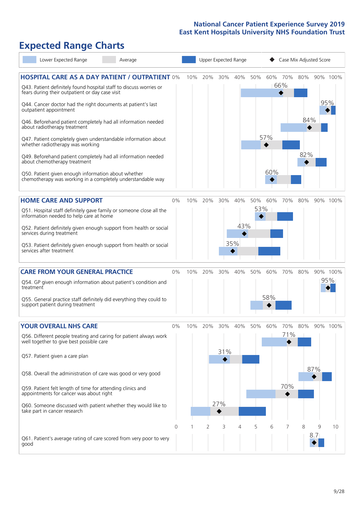# **Expected Range Charts**

|           | Lower Expected Range                                                                                  | Average                                                                                                                     |          |     |     |     | Upper Expected Range |     |          | Case Mix Adjusted Score |     |          |              |
|-----------|-------------------------------------------------------------------------------------------------------|-----------------------------------------------------------------------------------------------------------------------------|----------|-----|-----|-----|----------------------|-----|----------|-------------------------|-----|----------|--------------|
|           | fears during their outpatient or day case visit                                                       | <b>HOSPITAL CARE AS A DAY PATIENT / OUTPATIENT 0%</b><br>Q43. Patient definitely found hospital staff to discuss worries or |          | 10% | 20% | 30% | 40%                  | 50% |          | 60% 70%<br>66%          |     |          | 80% 90% 100% |
|           | outpatient appointment                                                                                | Q44. Cancer doctor had the right documents at patient's last                                                                |          |     |     |     |                      |     |          |                         |     |          | 95%          |
|           | about radiotherapy treatment                                                                          | Q46. Beforehand patient completely had all information needed                                                               |          |     |     |     |                      |     |          |                         | 84% |          |              |
|           | whether radiotherapy was working                                                                      | Q47. Patient completely given understandable information about                                                              |          |     |     |     |                      |     | 57%<br>♦ |                         |     |          |              |
|           | about chemotherapy treatment                                                                          | Q49. Beforehand patient completely had all information needed                                                               |          |     |     |     |                      |     | 60%      |                         | 82% |          |              |
|           | Q50. Patient given enough information about whether                                                   | chemotherapy was working in a completely understandable way                                                                 |          |     |     |     |                      |     |          |                         |     |          |              |
|           | <b>HOME CARE AND SUPPORT</b>                                                                          |                                                                                                                             | 0%       | 10% | 20% | 30% | 40%                  | 50% | 60%      | 70%                     | 80% |          | 90% 100%     |
|           | information needed to help care at home                                                               | Q51. Hospital staff definitely gave family or someone close all the                                                         |          |     |     |     |                      | 53% |          |                         |     |          |              |
|           | services during treatment                                                                             | Q52. Patient definitely given enough support from health or social                                                          |          |     |     |     | 43%<br>◆             |     |          |                         |     |          |              |
|           | services after treatment                                                                              | Q53. Patient definitely given enough support from health or social                                                          |          |     |     |     | 35%                  |     |          |                         |     |          |              |
|           | <b>CARE FROM YOUR GENERAL PRACTICE</b>                                                                |                                                                                                                             | 0%       | 10% | 20% | 30% | 40%                  | 50% | 60%      | 70%                     | 80% |          | 90% 100%     |
| treatment |                                                                                                       | Q54. GP given enough information about patient's condition and                                                              |          |     |     |     |                      |     |          |                         |     |          | 95%          |
|           | support patient during treatment                                                                      | Q55. General practice staff definitely did everything they could to                                                         |          |     |     |     |                      |     | 58%      |                         |     |          |              |
|           | <b>YOUR OVERALL NHS CARE</b>                                                                          |                                                                                                                             | $0\%$    | 10% | 20% | 30% | 40%                  | 50% | 60%      | 70%                     | 80% |          | 90% 100%     |
|           | well together to give best possible care                                                              | Q56. Different people treating and caring for patient always work                                                           |          |     |     |     |                      |     |          | 71%                     |     |          |              |
|           | Q57. Patient given a care plan                                                                        |                                                                                                                             |          |     |     | 31% |                      |     |          |                         |     |          |              |
|           |                                                                                                       | Q58. Overall the administration of care was good or very good                                                               |          |     |     |     |                      |     |          |                         |     | 87%      |              |
|           | Q59. Patient felt length of time for attending clinics and<br>appointments for cancer was about right |                                                                                                                             |          |     |     |     |                      |     |          | 70%                     |     |          |              |
|           | take part in cancer research                                                                          | Q60. Someone discussed with patient whether they would like to                                                              |          |     |     | 27% |                      |     |          |                         |     |          |              |
|           |                                                                                                       | Q61. Patient's average rating of care scored from very poor to very                                                         | $\Omega$ |     | 2   | 3   | 4                    | 5   | 6        | 7                       | 8   | 9<br>8.7 | 10           |
| good      |                                                                                                       |                                                                                                                             |          |     |     |     |                      |     |          |                         |     |          |              |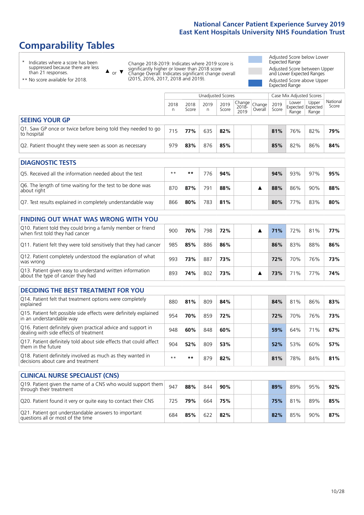# **Comparability Tables**

\* Indicates where a score has been suppressed because there are less than 21 responses.

\*\* No score available for 2018.

 $\triangle$  or  $\nabla$ 

Change 2018-2019: Indicates where 2019 score is significantly higher or lower than 2018 score Change Overall: Indicates significant change overall (2015, 2016, 2017, 2018 and 2019).

Adjusted Score below Lower Expected Range Adjusted Score between Upper and Lower Expected Ranges Adjusted Score above Upper Expected Range

|                                                                             |           |               | Unadjusted Scores |               |                                 |         |               | Case Mix Adjusted Scores |                                     |                   |
|-----------------------------------------------------------------------------|-----------|---------------|-------------------|---------------|---------------------------------|---------|---------------|--------------------------|-------------------------------------|-------------------|
|                                                                             | 2018<br>n | 2018<br>Score | 2019<br>n         | 2019<br>Score | Change Change <br>2018-<br>2019 | Overall | 2019<br>Score | Lower<br>Range           | Upper<br>Expected Expected<br>Range | National<br>Score |
| <b>SEEING YOUR GP</b>                                                       |           |               |                   |               |                                 |         |               |                          |                                     |                   |
| Q1. Saw GP once or twice before being told they needed to go<br>to hospital | 715       | 77%           | 635               | 82%           |                                 |         | 81%           | 76%                      | 82%                                 | 79%               |
| Q2. Patient thought they were seen as soon as necessary                     | 979       | 83%           | 876               | 85%           |                                 |         | 85%           | 82%                      | 86%                                 | 84%               |
| <b>DIAGNOSTIC TESTS</b>                                                     |           |               |                   |               |                                 |         |               |                          |                                     |                   |
| O5. Received all the information needed about the test                      | $***$     | **            | 776               | 94%           |                                 |         | 94%           | 93%                      | 97%                                 | 95%               |
| Q6. The length of time waiting for the test to be done was                  | 070       | 070/          | 701               | 000/          |                                 |         | 000/          | OCM                      | 000 <sup>1</sup>                    | 000/              |

| Q6. The length of time waiting for the test to be done was<br>about right | 870 | 87% | 791 | 88% |  | 88% | 86% | 90% | 88% |
|---------------------------------------------------------------------------|-----|-----|-----|-----|--|-----|-----|-----|-----|
| Q7. Test results explained in completely understandable way               | 866 | 80% | 783 | 81% |  | 80% | 77% | 83% | 80% |

| <b>FINDING OUT WHAT WAS WRONG WITH YOU</b>                                                      |     |     |     |     |  |     |     |     |     |
|-------------------------------------------------------------------------------------------------|-----|-----|-----|-----|--|-----|-----|-----|-----|
| Q10. Patient told they could bring a family member or friend<br>when first told they had cancer | 900 | 70% | 798 | 72% |  | 71% | 72% | 81% | 77% |
| Q11. Patient felt they were told sensitively that they had cancer                               | 985 | 85% | 886 | 86% |  | 86% | 83% | 88% | 86% |
| Q12. Patient completely understood the explanation of what<br>was wrong                         | 993 | 73% | 887 | 73% |  | 72% | 70% | 76% | 73% |
| Q13. Patient given easy to understand written information<br>about the type of cancer they had  | 893 | 74% | 802 | 73% |  | 73% | 71% | 77% | 74% |

| <b>DECIDING THE BEST TREATMENT FOR YOU</b>                                                              |      |     |     |     |  |     |     |     |     |
|---------------------------------------------------------------------------------------------------------|------|-----|-----|-----|--|-----|-----|-----|-----|
| Q14. Patient felt that treatment options were completely<br>explained                                   | 880  | 81% | 809 | 84% |  | 84% | 81% | 86% | 83% |
| Q15. Patient felt possible side effects were definitely explained<br>in an understandable way           | 954  | 70% | 859 | 72% |  | 72% | 70% | 76% | 73% |
| Q16. Patient definitely given practical advice and support in<br>dealing with side effects of treatment | 948  | 60% | 848 | 60% |  | 59% | 64% | 71% | 67% |
| Q17. Patient definitely told about side effects that could affect<br>them in the future                 | 904  | 52% | 809 | 53% |  | 52% | 53% | 60% | 57% |
| Q18. Patient definitely involved as much as they wanted in<br>decisions about care and treatment        | $**$ | **  | 879 | 82% |  | 81% | 78% | 84% | 81% |

| <b>CLINICAL NURSE SPECIALIST (CNS)</b>                                                    |     |     |     |        |     |     |     |     |
|-------------------------------------------------------------------------------------------|-----|-----|-----|--------|-----|-----|-----|-----|
| Q19. Patient given the name of a CNS who would support them<br>through their treatment    | 947 | 88% | 844 | $90\%$ | 89% | 89% | 95% | 92% |
| Q20. Patient found it very or quite easy to contact their CNS                             | 725 | 79% | 664 | 75%    | 75% | 81% | 89% | 85% |
| Q21. Patient got understandable answers to important<br>questions all or most of the time | 684 | 85% | 622 | 82%    | 82% | 85% | 90% | 87% |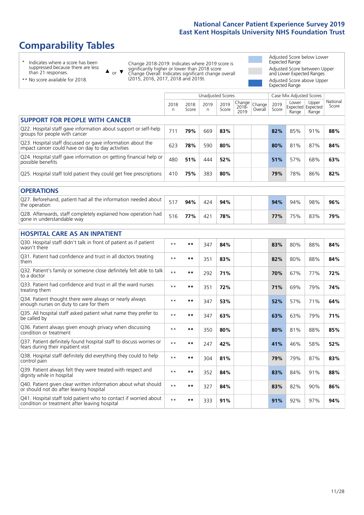# **Comparability Tables**

\* Indicates where a score has been suppressed because there are less than 21 responses.

\*\* No score available for 2018.

 $\triangle$  or  $\nabla$ 

Change 2018-2019: Indicates where 2019 score is significantly higher or lower than 2018 score Change Overall: Indicates significant change overall (2015, 2016, 2017, 2018 and 2019).

Adjusted Score below Lower Expected Range Adjusted Score between Upper and Lower Expected Ranges Adjusted Score above Upper Expected Range

|                                                                                                                   |                |               | <b>Unadjusted Scores</b> |               |                         |                   |               | Case Mix Adjusted Scores            |                |                   |
|-------------------------------------------------------------------------------------------------------------------|----------------|---------------|--------------------------|---------------|-------------------------|-------------------|---------------|-------------------------------------|----------------|-------------------|
|                                                                                                                   | 2018<br>n      | 2018<br>Score | 2019<br>n                | 2019<br>Score | Change<br>2018-<br>2019 | Change<br>Overall | 2019<br>Score | Lower<br>Expected Expected<br>Range | Upper<br>Range | National<br>Score |
| <b>SUPPORT FOR PEOPLE WITH CANCER</b>                                                                             |                |               |                          |               |                         |                   |               |                                     |                |                   |
| Q22. Hospital staff gave information about support or self-help<br>groups for people with cancer                  | 711            | 79%           | 669                      | 83%           |                         |                   | 82%           | 85%                                 | 91%            | 88%               |
| Q23. Hospital staff discussed or gave information about the<br>impact cancer could have on day to day activities  | 623            | 78%           | 590                      | 80%           |                         |                   | 80%           | 81%                                 | 87%            | 84%               |
| Q24. Hospital staff gave information on getting financial help or<br>possible benefits                            | 480            | 51%           | 444                      | 52%           |                         |                   | 51%           | 57%                                 | 68%            | 63%               |
| Q25. Hospital staff told patient they could get free prescriptions                                                | 410            | 75%           | 383                      | 80%           |                         |                   | 79%           | 78%                                 | 86%            | 82%               |
| <b>OPERATIONS</b>                                                                                                 |                |               |                          |               |                         |                   |               |                                     |                |                   |
| Q27. Beforehand, patient had all the information needed about<br>the operation                                    | 517            | 94%           | 424                      | 94%           |                         |                   | 94%           | 94%                                 | 98%            | 96%               |
| Q28. Afterwards, staff completely explained how operation had<br>gone in understandable way                       | 516            | 77%           | 421                      | 78%           |                         |                   | 77%           | 75%                                 | 83%            | 79%               |
| <b>HOSPITAL CARE AS AN INPATIENT</b>                                                                              |                |               |                          |               |                         |                   |               |                                     |                |                   |
| Q30. Hospital staff didn't talk in front of patient as if patient<br>wasn't there                                 | $* *$          | $***$         | 347                      | 84%           |                         |                   | 83%           | 80%                                 | 88%            | 84%               |
| Q31. Patient had confidence and trust in all doctors treating<br>them                                             | $* *$          | $***$         | 351                      | 83%           |                         |                   | 82%           | 80%                                 | 88%            | 84%               |
| Q32. Patient's family or someone close definitely felt able to talk<br>to a doctor                                | $* *$          | $***$         | 292                      | 71%           |                         |                   | 70%           | 67%                                 | 77%            | 72%               |
| O33. Patient had confidence and trust in all the ward nurses<br>treating them                                     | $\star\,\star$ | **            | 351                      | 72%           |                         |                   | 71%           | 69%                                 | 79%            | 74%               |
| Q34. Patient thought there were always or nearly always<br>enough nurses on duty to care for them                 | $* *$          | $***$         | 347                      | 53%           |                         |                   | 52%           | 57%                                 | 71%            | 64%               |
| Q35. All hospital staff asked patient what name they prefer to<br>be called by                                    | $* *$          | $***$         | 347                      | 63%           |                         |                   | 63%           | 63%                                 | 79%            | 71%               |
| Q36. Patient always given enough privacy when discussing<br>condition or treatment                                | $* *$          | $***$         | 350                      | 80%           |                         |                   | 80%           | 81%                                 | 88%            | 85%               |
| Q37. Patient definitely found hospital staff to discuss worries or<br>fears during their inpatient visit          | $* *$          | **            | 247                      | 42%           |                         |                   | 41%           | 46%                                 | 58%            | 52%               |
| Q38. Hospital staff definitely did everything they could to help<br>control pain                                  | $* *$          | $***$         | 304                      | 81%           |                         |                   | 79%           | 79%                                 | 87%            | 83%               |
| Q39. Patient always felt they were treated with respect and<br>dignity while in hospital                          | $\star\star$   | $***$         | 352                      | 84%           |                         |                   | 83%           | 84%                                 | 91%            | 88%               |
| Q40. Patient given clear written information about what should<br>or should not do after leaving hospital         | $* *$          | $***$         | 327                      | 84%           |                         |                   | 83%           | 82%                                 | 90%            | 86%               |
| Q41. Hospital staff told patient who to contact if worried about<br>condition or treatment after leaving hospital | $**$           | $***$         | 333                      | 91%           |                         |                   | 91%           | 92%                                 | 97%            | 94%               |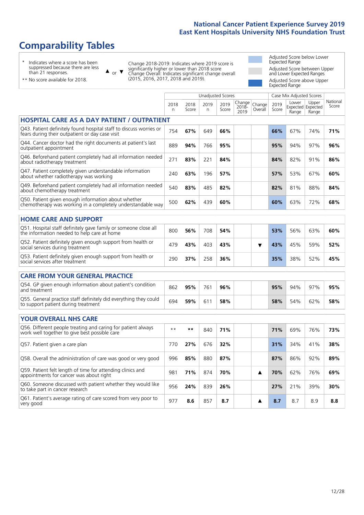# **Comparability Tables**

\* Indicates where a score has been suppressed because there are less than 21 responses.

\*\* No score available for 2018.

 $\triangle$  or  $\nabla$ 

Change 2018-2019: Indicates where 2019 score is significantly higher or lower than 2018 score Change Overall: Indicates significant change overall (2015, 2016, 2017, 2018 and 2019).

Adjusted Score below Lower Expected Range Adjusted Score between Upper and Lower Expected Ranges Adjusted Score above Upper Expected Range

|                                                                                                                       |              |               | <b>Unadjusted Scores</b> |               |                         |                   |               | Case Mix Adjusted Scores            |                |                   |
|-----------------------------------------------------------------------------------------------------------------------|--------------|---------------|--------------------------|---------------|-------------------------|-------------------|---------------|-------------------------------------|----------------|-------------------|
|                                                                                                                       | 2018<br>n    | 2018<br>Score | 2019<br>n                | 2019<br>Score | Change<br>2018-<br>2019 | Change<br>Overall | 2019<br>Score | Lower<br>Expected Expected<br>Range | Upper<br>Range | National<br>Score |
| <b>HOSPITAL CARE AS A DAY PATIENT / OUTPATIENT</b>                                                                    |              |               |                          |               |                         |                   |               |                                     |                |                   |
| Q43. Patient definitely found hospital staff to discuss worries or<br>fears during their outpatient or day case visit | 754          | 67%           | 649                      | 66%           |                         |                   | 66%           | 67%                                 | 74%            | 71%               |
| Q44. Cancer doctor had the right documents at patient's last<br>outpatient appointment                                | 889          | 94%           | 766                      | 95%           |                         |                   | 95%           | 94%                                 | 97%            | 96%               |
| Q46. Beforehand patient completely had all information needed<br>about radiotherapy treatment                         | 271          | 83%           | 221                      | 84%           |                         |                   | 84%           | 82%                                 | 91%            | 86%               |
| Q47. Patient completely given understandable information<br>about whether radiotherapy was working                    | 240          | 63%           | 196                      | 57%           |                         |                   | 57%           | 53%                                 | 67%            | 60%               |
| Q49. Beforehand patient completely had all information needed<br>about chemotherapy treatment                         | 540          | 83%           | 485                      | 82%           |                         |                   | 82%           | 81%                                 | 88%            | 84%               |
| Q50. Patient given enough information about whether<br>chemotherapy was working in a completely understandable way    | 500          | 62%           | 439                      | 60%           |                         |                   | 60%           | 63%                                 | 72%            | 68%               |
| <b>HOME CARE AND SUPPORT</b>                                                                                          |              |               |                          |               |                         |                   |               |                                     |                |                   |
| Q51. Hospital staff definitely gave family or someone close all<br>the information needed to help care at home        | 800          | 56%           | 708                      | 54%           |                         |                   | 53%           | 56%                                 | 63%            | 60%               |
| Q52. Patient definitely given enough support from health or<br>social services during treatment                       | 479          | 43%           | 403                      | 43%           |                         | ▼                 | 43%           | 45%                                 | 59%            | 52%               |
| Q53. Patient definitely given enough support from health or<br>social services after treatment                        | 290          | 37%           | 258                      | 36%           |                         |                   | 35%           | 38%                                 | 52%            | 45%               |
| CARE FROM YOUR GENERAL PRACTICE                                                                                       |              |               |                          |               |                         |                   |               |                                     |                |                   |
| Q54. GP given enough information about patient's condition<br>and treatment                                           | 862          | 95%           | 761                      | 96%           |                         |                   | 95%           | 94%                                 | 97%            | 95%               |
| Q55. General practice staff definitely did everything they could<br>to support patient during treatment               | 694          | 59%           | 611                      | 58%           |                         |                   | 58%           | 54%                                 | 62%            | 58%               |
| YOUR OVERALL NHS CARE                                                                                                 |              |               |                          |               |                         |                   |               |                                     |                |                   |
| Q56. Different people treating and caring for patient always                                                          | $\star\star$ | $***$         | 840                      | 71%           |                         |                   | 71%           | 69%                                 | 76%            | 73%               |
| work well together to give best possible care                                                                         |              |               |                          |               |                         |                   |               |                                     |                |                   |
| Q57. Patient given a care plan                                                                                        | 770          | 27%           | 676                      | 32%           |                         |                   | 31%           | 34%                                 | 41%            | 38%               |
| Q58. Overall the administration of care was good or very good                                                         | 996          | 85%           | 880                      | 87%           |                         |                   | 87%           | 86%                                 | 92%            | 89%               |
| Q59. Patient felt length of time for attending clinics and<br>appointments for cancer was about right                 | 981          | 71%           | 874                      | 70%           |                         | ▲                 | 70%           | 62%                                 | 76%            | 69%               |
| Q60. Someone discussed with patient whether they would like<br>to take part in cancer research                        | 956          | 24%           | 839                      | 26%           |                         |                   | 27%           | 21%                                 | 39%            | 30%               |
| Q61. Patient's average rating of care scored from very poor to<br>very good                                           | 977          | 8.6           | 857                      | 8.7           |                         | ▲                 | 8.7           | 8.7                                 | 8.9            | 8.8               |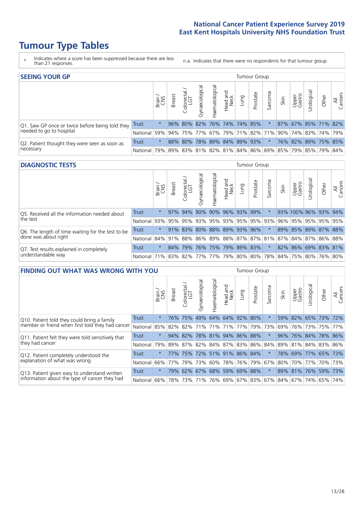# **Tumour Type Tables**

- \* Indicates where a score has been suppressed because there are less than 21 responses.
- n.a. Indicates that there were no respondents for that tumour group.

| <b>SEEING YOUR GP</b>                           |              |          |               |                   |                |                |                  |      | Tumour Group        |         |      |                 |                                                     |       |                |
|-------------------------------------------------|--------------|----------|---------------|-------------------|----------------|----------------|------------------|------|---------------------|---------|------|-----------------|-----------------------------------------------------|-------|----------------|
|                                                 |              | Brain    | <b>Breast</b> | Colorectal<br>LGT | Gynaecological | Haematological | Head and<br>Neck | Lung | Prostate            | Sarcoma | Skin | Upper<br>Gastro | Irological                                          | Other | All<br>Cancers |
| Q1. Saw GP once or twice before being told they | <b>Trust</b> |          |               | 96% 80%           |                |                |                  |      | 82% 76% 74% 74% 85% |         |      |                 | 87% 67% 85% 71% 82%                                 |       |                |
| needed to go to hospital                        | National     | 59%      |               |                   |                |                |                  |      |                     |         |      |                 | 94% 75% 77% 67% 79% 71% 82% 71% 90% 74% 83% 74% 79% |       |                |
| Q2. Patient thought they were seen as soon as   | Trust        | $^\star$ |               | 88% 80%           |                |                |                  |      | 78% 89% 84% 89% 93% |         |      |                 | 76% 82% 89% 75% 85%                                 |       |                |
| necessary                                       | National l   | 79%      |               |                   |                |                |                  |      |                     |         |      |                 | 89% 83% 81% 82% 81% 84% 86% 69% 85% 79% 85% 79% 84% |       |                |

#### **DIAGNOSTIC TESTS** Tumour Group

|                                                   |                                                                  | Brain    | <b>Breast</b> | olorectal<br>LGT<br>Ü | Gynaecological | Haematological      | Head and<br>Neck    | Lung | Prostate | Sarcoma | Skin | Upper<br>Gastro | Irological           | Other | All<br>Cancers |
|---------------------------------------------------|------------------------------------------------------------------|----------|---------------|-----------------------|----------------|---------------------|---------------------|------|----------|---------|------|-----------------|----------------------|-------|----------------|
| Q5. Received all the information needed about     | <b>Trust</b>                                                     | $\star$  |               | 97% 94%               | 90%            |                     | 90% 96% 93% 99%     |      |          |         |      |                 | 93% 100% 96% 93% 94% |       |                |
| the test                                          | National                                                         | 93%      | 95%           | 95%                   | 93%            |                     | 95% 93% 95% 95% 93% |      |          |         | 96%  | 95%             | 95% 95% 95%          |       |                |
| Q6. The length of time waiting for the test to be | Trust                                                            | $^\star$ |               | 91% 83%               | 80%            | 88% 89% 93% 96%     |                     |      |          |         |      |                 | 89% 85% 89% 87% 88%  |       |                |
| done was about right                              | National 84% 91% 88% 86% 89% 88% 87% 87% 81% 87% 84% 87% 86% 88% |          |               |                       |                |                     |                     |      |          |         |      |                 |                      |       |                |
| Q7. Test results explained in completely          | Trust                                                            | $\star$  | 84%           | 79%                   |                | 76% 75% 79% 89% 83% |                     |      |          | $\star$ |      |                 | 82% 86% 69% 83% 81%  |       |                |
| understandable way                                | National 71% 83% 82% 77% 77% 79% 80% 80% 78% 84% 75% 80% 76% 80% |          |               |                       |                |                     |                     |      |          |         |      |                 |                      |       |                |

| <b>FINDING OUT WHAT WAS WRONG WITH YOU</b>        |              |         |               |                       |                |                     |                  |                 | <b>Tumour Group</b> |         |      |                 |                     |         |                |
|---------------------------------------------------|--------------|---------|---------------|-----------------------|----------------|---------------------|------------------|-----------------|---------------------|---------|------|-----------------|---------------------|---------|----------------|
|                                                   |              | Brain   | <b>Breast</b> | olorectal<br>LGT<br>Ū | Gynaecological | Haematologica       | Head and<br>Neck | Lung            | Prostate            | Sarcoma | Skin | Upper<br>Gastro | Jrological          | Other   | All<br>Cancers |
| Q10. Patient told they could bring a family       | <b>Trust</b> | $\star$ | 76%           | 75%                   | 49%            |                     |                  | 64% 64% 92%     | 80%                 | $\star$ | 59%  | 82%             | 65% 73%             |         | 72%            |
| member or friend when first told they had cancer  | National     | 85%     | 82%           | 82%                   |                | 71% 71%             | 71%              | 77%             | 79%                 | 73%     | 69%  |                 | 76% 73%             | 75%     | 77%            |
| Q11. Patient felt they were told sensitively that | Trust        | $\star$ | 94%           | 82%                   |                | 78% 81% 94% 86%     |                  |                 | 88%                 | $\ast$  | 96%  |                 | 76% 84%             | 78% 86% |                |
| they had cancer                                   | National     | 79%     |               | 89% 87%               |                | 82% 84% 87% 83% 86% |                  |                 |                     | 84%     |      |                 | 89% 81% 84% 83% 86% |         |                |
| Q12. Patient completely understood the            | Trust        | $\star$ | 77%           | 75%                   |                | 72% 51% 91% 86% 84% |                  |                 |                     | $\star$ | 78%  |                 | 69% 77% 65% 73%     |         |                |
| explanation of what was wrong                     | National     | 66%     | 77%           | 79%                   |                | 73% 60%             |                  | 78%   76%   79% |                     | 67%     | 80%  |                 | 70% 77%             | 70% 73% |                |
| Q13. Patient given easy to understand written     | Trust        | $\star$ | 79%           | 62%                   | 67%            |                     |                  | 68% 59% 69%     | 88%                 | $\star$ |      |                 | 89% 81% 76%         | 59%     | 73%            |
| information about the type of cancer they had     | National     | 66%     | 78%           | 73%                   |                | 71% 76% 69% 67% 83% |                  |                 |                     | 67%     | 84%  |                 | $ 67\% 74\% $       | 65%     | 74%            |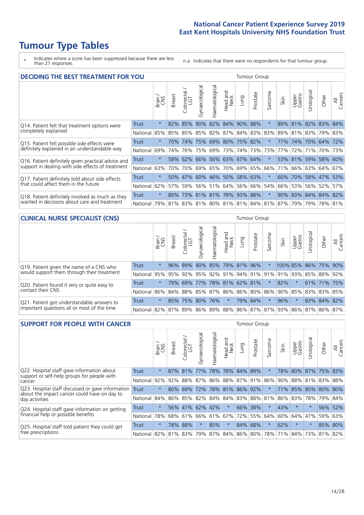# **Tumour Type Tables**

\* Indicates where a score has been suppressed because there are less than 21 responses.

n.a. Indicates that there were no respondents for that tumour group.

| <b>DECIDING THE BEST TREATMENT FOR YOU</b>         |              |         |               |            |                |                |                        |                             | <b>Tumour Group</b> |                                 |                 |                 |            |                     |                |
|----------------------------------------------------|--------------|---------|---------------|------------|----------------|----------------|------------------------|-----------------------------|---------------------|---------------------------------|-----------------|-----------------|------------|---------------------|----------------|
|                                                    |              | Brain   | <b>Breast</b> | Colorectal | Gynaecological | Haematological | ad and<br>Neck<br>Head | Lung                        | Prostate            | Sarcoma                         | Skin            | Upper<br>Gastro | Jrological | Other               | All<br>Cancers |
| Q14. Patient felt that treatment options were      | <b>Trust</b> | $\star$ | 82%           | 85%        | 90%            |                |                        | 82% 84% 90%                 | 88%                 | $\star$                         | 89%             | 81%             |            | 82% 83%             | 84%            |
| completely explained                               | National     | 85%     | 85%           | 85%        |                | 85% 82%        | 87%                    |                             | 84% 83%             | 83%                             | 89%             | 81%             | 83%        | 79% 83%             |                |
| Q15. Patient felt possible side effects were       | Trust        | $\star$ | 70%           | 74%        |                |                |                        | 75% 69% 80% 75% 82%         |                     |                                 | 77%             | 174%            |            | 70% 64% 72%         |                |
| definitely explained in an understandable way      | National     | 69%     | 74%           | 76%        |                | 75% 69%        | 73%                    |                             | 74% 73%             | 73%                             | 77%             | 72%             | 71%        | 70%                 | 73%            |
| Q16. Patient definitely given practical advice and | Trust        | $\star$ |               |            |                |                |                        | 58% 62% 66% 56% 63% 67% 64% |                     | $\ast$                          |                 |                 |            | 53% 81% 59% 58% 60% |                |
| support in dealing with side effects of treatment  | National     | 63%     | 70%           | 70%        |                |                |                        | 69% 65% 70% 69% 65%         |                     | 66%                             | 71 <sup>%</sup> |                 |            | 66% 63% 64% 67%     |                |
| Q17. Patient definitely told about side effects    | Trust        | $\star$ |               |            |                |                |                        | 50% 47% 60% 46% 50% 58% 63% |                     | $\ast$                          | 60%             |                 |            | 70% 58% 47% 53%     |                |
| that could affect them in the future               | National     | 62%     | 57%           | 59%        |                | 56% 51%        | 64%                    |                             | 56% 66%             | 54%                             | 66%             | 53%             |            | 56% 52%             | 57%            |
| Q18. Patient definitely involved as much as they   | Trust        | $\star$ | 80%           |            |                |                |                        | 73% 81% 81% 78% 93% 88%     |                     | $\star$                         | 90%             |                 |            | 83% 84% 84% 82%     |                |
| wanted in decisions about care and treatment       | National     | 79%     |               |            |                |                |                        |                             |                     | 81% 83% 81% 80% 81% 81% 84% 81% | 87%             | 79%             |            | 79% 78% 81%         |                |

#### **CLINICAL NURSE SPECIALIST (CNS)** Tumour Group

|                                             |              | Brain   | <b>Breast</b>   | olorectal.<br>LGT<br>Ü | aecologica<br>Š | $\overline{\sigma}$<br>Ü<br>Haematologi | Head and<br>Neck    | Lung | Prostate | Sarcoma | Skin | Upper<br>Gastro                                                             | $\sigma$<br>rologica | Other       | All<br>ancers<br>Ü |
|---------------------------------------------|--------------|---------|-----------------|------------------------|-----------------|-----------------------------------------|---------------------|------|----------|---------|------|-----------------------------------------------------------------------------|----------------------|-------------|--------------------|
| Q19. Patient given the name of a CNS who    | <b>Trust</b> | $\star$ |                 | 96% 89%                | 90%             |                                         | 85% 79% 81% 96%     |      |          |         |      | 100% 85%                                                                    |                      | 86% 75% 90% |                    |
| would support them through their treatment  | National     |         |                 |                        |                 |                                         |                     |      |          |         |      | 95% 95% 92% 95% 92% 91% 94% 91% 91% 91% 92% 85% 89%                         |                      |             | 92%                |
| Q20. Patient found it very or quite easy to | Trust        | $\star$ |                 | 79% 69%                |                 |                                         | 77% 78% 81% 62% 81% |      |          | $\star$ | 82%  | $\star$                                                                     |                      | 61% 71% 75% |                    |
| contact their CNS                           | National     |         | 86% 84% 88% 85% |                        |                 |                                         |                     |      |          |         |      | 87% 86% 86% 80% 86% 90% 85%                                                 |                      | 83% 83%     | 85%                |
| Q21. Patient got understandable answers to  | Trust        | $\star$ |                 | 85% 75%                | 80%             | 76%                                     | $\star$             |      | 79% 84%  | $\ast$  | 96%  | $\star$                                                                     |                      | 83% 84%     | 82%                |
| important questions all or most of the time | National     |         |                 |                        |                 |                                         |                     |      |          |         |      | 82%   87%   89%   86%   89%   88%   86%   87%   87%   93%   86%   87%   86% |                      |             | 87%                |

| <b>SUPPORT FOR PEOPLE WITH CANCER</b>                                                             |          |         |               |            |                |                |                        |             | Tumour Group |                  |      |                 |            |         |                |
|---------------------------------------------------------------------------------------------------|----------|---------|---------------|------------|----------------|----------------|------------------------|-------------|--------------|------------------|------|-----------------|------------|---------|----------------|
|                                                                                                   |          | Brain   | <b>Breast</b> | Colorectal | Gynaecological | Haematological | ad and<br>Neck<br>Head | <b>Dung</b> | Prostate     | arcoma<br>$\sim$ | Skin | Upper<br>Gastro | Jrological | Other   | All<br>Cancers |
| Q22. Hospital staff gave information about<br>support or self-help groups for people with         | Trust    | $\star$ | 87%           | 81%        | 77%            | 78%            | 78%                    | 84%         | 89%          | 大                | 78%  | 80%             | 87%        | 75% 83% |                |
| cancer                                                                                            | National | 92%     | 92%           | 88%        | 87%            | 86%            | 88% 87% 91%            |             |              | 86%              | 90%  | 88%             | 81%        | 83%     | 88%            |
| Q23. Hospital staff discussed or gave information<br>about the impact cancer could have on day to | Trust    | $\star$ | 80%           | 69%        | 72%            |                | 78% 81%                | 86%         | 92%          | $\star$          | 71%  | 85%             | 85%        | 80%     | 80%            |
| day activities                                                                                    | National | 84%     |               | 86% 85%    | 82%            | 84%            | 84%                    | 83% 88% 81% |              |                  | 86%  | 83%             | 78%        | 79%     | 84%            |
| Q24. Hospital staff gave information on getting                                                   | Trust    | $\star$ |               | 56% 41%    |                | 62% 42%        | $\star$                |             | 66% 38%      | $\star$          | 43%  | $\star$         | $^\star$   | $56\%$  | 52%            |
| financial help or possible benefits                                                               | National | 78%     |               | 68% 61%    |                | 66% 61%        | 67%                    |             | 72% 55%      | 64%              | 60%  | 64%             | 47%        | 59%     | 63%            |
| Q25. Hospital staff told patient they could get                                                   | Trust    | $\star$ |               | 78% 88%    | $\star$        | 85%            | $\ast$                 | 84%         | 68%          | $\star$          | 62%  | $\star$         | $\star$    |         | 85% 80%        |
| free prescriptions                                                                                | National | 82%     |               | 81% 83%    | 79%            |                | 87% 84% 86% 80%        |             |              | 78%              | 71%  | 84%             | 73%        | 81%     | 82%            |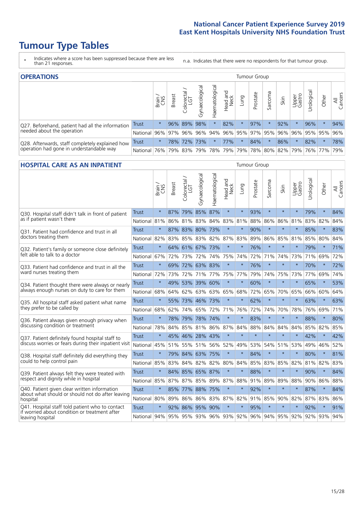# **Tumour Type Tables**

- \* Indicates where a score has been suppressed because there are less than 21 responses.
- n.a. Indicates that there were no respondents for that tumour group.

| <b>OPERATIONS</b>                                |              |         |       |                        |                                         |                |                         |          | Tumour Group |         |                 |                 |            |         |                |
|--------------------------------------------------|--------------|---------|-------|------------------------|-----------------------------------------|----------------|-------------------------|----------|--------------|---------|-----------------|-----------------|------------|---------|----------------|
|                                                  |              | Brain   | reast | iolorectal<br>LGT<br>Ü | ᠊ᢛ<br>haecologic<br>$\overline{\delta}$ | Haematological | ad and<br>Neck<br>Head  | Lung     | Prostate     | Sarcoma | Skin            | Upper<br>Gastro | Jrological | Other   | All<br>Cancers |
| Q27. Beforehand, patient had all the information | <b>Trust</b> | $\star$ |       | 96% 89%                | 98%                                     | *.             | 82%                     | $^\star$ | 97%          |         | 92%             |                 | 96%        | $\ast$  | 94%            |
| needed about the operation                       | National     | 96%     | 97%   | 96%                    | 96%                                     |                | 94% 96% 95% 97% 95% 96% |          |              |         |                 | $ 96\% $        |            | 95% 95% | 96%            |
| Q28. Afterwards, staff completely explained how  | <b>Trust</b> | $\star$ |       | 78% 72%                | 73%                                     | $\ast$         | 77%                     | $^\star$ | 84%          |         | 86%             | $\star$         | 82%        | $\star$ | 78%            |
| operation had gone in understandable way         | National     | 76%     | 79%   | 83%                    |                                         |                | 79%   78%   79%         |          |              |         | 79% 78% 80% 82% | 79%             |            | 76% 77% | 79%            |

#### **HOSPITAL CARE AS AN INPATIENT** Tumour Group

|                                                                                                  |              | Brain<br>CNS | <b>Breast</b> | Colorectal /<br>LGT | Gynaecological      | Haematological | Head and<br>Neck | Lung    | Prostate | Sarcoma | Skin        | Upper<br>Gastro | Urological                                      | Other   | All<br>Cancers |
|--------------------------------------------------------------------------------------------------|--------------|--------------|---------------|---------------------|---------------------|----------------|------------------|---------|----------|---------|-------------|-----------------|-------------------------------------------------|---------|----------------|
| Q30. Hospital staff didn't talk in front of patient                                              | <b>Trust</b> | $\star$      | 87%           |                     | 79% 85% 87%         |                | $\star$          | $\star$ | 93%      | $\star$ | $\star$     | $\star$         | 79%                                             | $\star$ | 84%            |
| as if patient wasn't there                                                                       | National     | 81%          | 86%           | 81% 83%             |                     | 84%            | 83% 81%          |         | 88%      | 86%     | 86%         | 81%             | 83%                                             | 82%     | 84%            |
| Q31. Patient had confidence and trust in all                                                     | <b>Trust</b> | $\star$      |               | 87% 83%             | 80%                 | 173%           | $\star$          | $\star$ | 90%      | $\star$ | $\star$     |                 | 85%                                             | $\star$ | 83%            |
| doctors treating them                                                                            | National 82% |              |               |                     | 83% 85% 83% 82%     |                | 87% 83%          |         | 89%      | 86%     | 85%         | 81%             | 85%                                             | 80%     | 84%            |
| Q32. Patient's family or someone close definitely                                                | <b>Trust</b> | $\star$      |               | 64% 61% 67%         |                     | 73%            | $\ast$           | $\star$ | 76%      | $\star$ | $\star$     | $\star$         | 79%                                             | $\star$ | 71%            |
| felt able to talk to a doctor                                                                    | National 67% |              |               | 72% 73%             | 72%                 | 74%            | 75%              | 74%     | 72%      | 71%     | 74%         | 73%             | 71%                                             | 69%     | 72%            |
| O33. Patient had confidence and trust in all the                                                 | <b>Trust</b> | $\star$      |               |                     | 69% 72% 63% 83%     |                | $\star$          | $\star$ | 76%      | $\star$ | $\star$     | $\star$         | 70%                                             | $\star$ | 72%            |
| ward nurses treating them                                                                        | National     | 72%          | 73%           | 72%                 | 71%                 | 77%            | 75%              | 77%     | 79%      | 74%     | 75%         | 73%             |                                                 | 77% 69% | 74%            |
| Q34. Patient thought there were always or nearly                                                 | <b>Trust</b> | $\star$      |               | 49% 53% 39%         |                     | 60%            | $\star$          | $\star$ | 60%      | $\star$ | $\star$     | $\star$         | 65%                                             | $\star$ | 53%            |
| always enough nurses on duty to care for them                                                    | National     | 68%          | 64%           | 62%                 | 63%                 | 63%            | 65%              | 68%     | 72%      | 65%     | 70%         | 65%             | 66%                                             | 60%     | 64%            |
| Q35. All hospital staff asked patient what name<br>they prefer to be called by                   | Trust        | $\star$      |               |                     | 55% 73% 46% 73%     |                | $\star$          | $\star$ | 62%      | $\star$ | $\star$     | $\star$         | 63%                                             | $\star$ | 63%            |
|                                                                                                  | National 68% |              | 62%           | 74% 65%             |                     | 72%            | 71%              | 76%     | 72%      | 74%     | 70%         | 78%             | 76% 69%                                         |         | 71%            |
| Q36. Patient always given enough privacy when                                                    | Trust        | $\star$      |               | 78% 79%             | 78%                 | 74%            | $\star$          | $\star$ | 83%      | $\star$ | $\star$     | $\star$         | 88%                                             | $\star$ | 80%            |
| discussing condition or treatment                                                                | National     | 78%          |               |                     | 84% 85% 81% 86% 87% |                |                  | 84%     | 88%      | 84%     | 84%         | 84%             | 85%                                             | 82%     | 85%            |
| Q37. Patient definitely found hospital staff to                                                  | <b>Trust</b> | $\star$      | 45%           |                     | 46% 28% 43%         |                | $\star$          | $\star$ | $\star$  | $\star$ | $\star$     | $\star$         | 42%                                             | $\star$ | 42%            |
| discuss worries or fears during their inpatient visit                                            | National     | 45%          |               |                     | 51% 55% 51%         |                | 56% 52%          | 49%     | 53%      |         | 54% 51% 53% |                 | 49%                                             | 46%     | 52%            |
| Q38. Hospital staff definitely did everything they                                               | Trust        | $\star$      |               | 79% 84% 63%         |                     | 75%            | $\star$          | $\star$ | 84%      | $\star$ | $\star$     | $\star$         | 80%                                             | $\star$ | 81%            |
| could to help control pain                                                                       | National     | 85%          | 83%           | 84%                 | 82%                 | 82%            | 80%              | 84%     | 85%      | 83%     | 85%         | 82%             | 81%                                             | 82%     | 83%            |
| Q39. Patient always felt they were treated with                                                  | Trust        | $\star$      |               |                     | 84% 85% 65% 87%     |                | $\star$          | $\star$ | 88%      | $\star$ | $\star$     |                 | 90%                                             | $\star$ | 84%            |
| respect and dignity while in hospital                                                            | National 85% |              | 87%           | 87%                 |                     |                | 85% 89% 87% 88%  |         | 91%      | 89%     | 89%         | 88%             |                                                 | 90% 86% | 88%            |
| Q40. Patient given clear written information<br>about what should or should not do after leaving | <b>Trust</b> | $\star$      |               | 85% 77%             | 88%                 | 75%            | $\star$          | $\star$ | 92%      | $\star$ | $\star$     | $\star$         | 87%                                             | $\star$ | 84%            |
| hospital                                                                                         | National 80% |              | 89%           |                     | 86% 86%             | 83%            | 87% 82%          |         | 91%      | 85%     | 90% 82%     |                 | 87%                                             | 83%     | 86%            |
| Q41. Hospital staff told patient who to contact<br>if worried about condition or treatment after | <b>Trust</b> | $\star$      |               |                     | 92% 86% 95% 90%     |                | $\star$          | $\star$ | 95%      | $\star$ | $\star$     | $\star$         | 92%                                             | $\star$ | 91%            |
| leaving hospital                                                                                 | National 94% |              |               |                     |                     |                |                  |         |          |         |             |                 | 95% 95% 93% 96% 93% 92% 96% 94% 95% 92% 92% 93% |         | 94%            |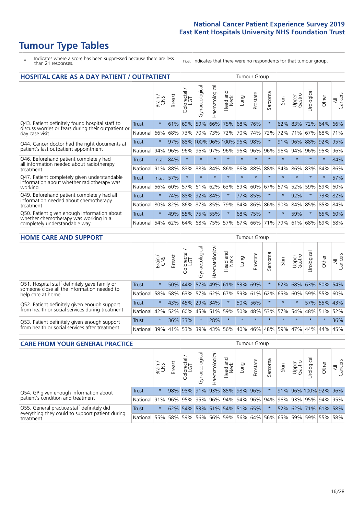# **Tumour Type Tables**

- \* Indicates where a score has been suppressed because there are less than 21 responses.
- n.a. Indicates that there were no respondents for that tumour group.

| <b>HOSPITAL CARE AS A DAY PATIENT / OUTPATIENT</b>                                                                       |              |         |               |                              |                   |                |                      |         |          | <b>Tumour Group</b>      |          |                 |            |         |                |  |  |
|--------------------------------------------------------------------------------------------------------------------------|--------------|---------|---------------|------------------------------|-------------------|----------------|----------------------|---------|----------|--------------------------|----------|-----------------|------------|---------|----------------|--|--|
|                                                                                                                          |              | Brain   | <b>Breast</b> | ー<br>olorectal /<br>LGT<br>Ū | Gynaecological    | Haematological | and<br>Neck<br>Head. | Lung    | Prostate | arcoma<br>$\overline{ }$ | Skin     | Upper<br>Gastro | Urological | Other   | All<br>Cancers |  |  |
| Q43. Patient definitely found hospital staff to<br>discuss worries or fears during their outpatient or<br>day case visit | Trust        | $\star$ | 61%           | 69%                          | 59%               | 66%            | 75%                  | 68%     | 76%      | $\star$                  | 62%      | 83%             | 72%        | 64%     | 66%            |  |  |
|                                                                                                                          | National     | 66%     | 68%           | 73%                          | 70%               | 73%            | 72%                  | 70%     | 74%      | 72%                      | 72%      | 71%             | 67%        | 68%     | 71%            |  |  |
| Q44. Cancer doctor had the right documents at<br>patient's last outpatient appointment                                   | Trust        | $\star$ | 97%           | 88%                          | 100% 96% 100% 96% |                |                      |         | 98%      | $\star$                  | 91%      | 96%             | 88%        | 92%     | 95%            |  |  |
|                                                                                                                          | National     | 94%     | 96%           | 96%                          |                   | 96% 97%        | 96%                  | 96%     | 96%      | 96%                      | 96%      | 94%             | 96%        | 95%     | 96%            |  |  |
| Q46. Beforehand patient completely had                                                                                   | Trust        | n.a.    | 84%           | $\star$                      |                   |                | $\star$              | $\star$ | $\star$  | 大                        |          |                 | $\star$    | $\ast$  | 84%            |  |  |
| all information needed about radiotherapy<br>treatment                                                                   | National     | 91%     | 88%           | 83%                          | 88%               | 84%            |                      | 86% 86% | 88%      | 88%                      | 84%      | 86%             | 83%        | 84%     | 86%            |  |  |
| Q47. Patient completely given understandable                                                                             | Trust        | n.a.    | 57%           | $\star$                      | $\star$           | $\star$        | $\star$              | $\star$ | $\star$  | $\star$                  | $\star$  | $\star$         | $\star$    | $\star$ | 57%            |  |  |
| information about whether radiotherapy was<br>working                                                                    | National     | 56%     | 60%           | 57%                          | 61%               | 62%            | 63%                  | 59%     | 60%      | 67%                      | 57%      | 52%             | 59%        | 59%     | 60%            |  |  |
| Q49. Beforehand patient completely had all                                                                               | <b>Trust</b> | $\star$ | 74%           | 88%                          | 92%               | 84%            | $\star$              | 77%     | 85%      | $\star$                  | $\star$  | 92%             | $\star$    | 73%     | 82%            |  |  |
| information needed about chemotherapy<br>treatment                                                                       | National     | 80%     | 82%           | 86%                          | 87%               | 85%            | 79%                  | 84%     | 86%      | 86%                      | 90%      | 84%             | 85%        | 85%     | 84%            |  |  |
| Q50. Patient given enough information about<br>whether chemotherapy was working in a<br>completely understandable way    | Trust        | $\star$ | 49%           | 55%                          | 75%               | 55%            | $\star$              |         | 68% 75%  | $\star$                  | $^\star$ | 59%             | $^\star$   | 65%     | 60%            |  |  |
|                                                                                                                          | National     | 54%     | 62%           | 64%                          | 68%               | 75%            | 57%                  | 67%     | 66%      | 71%                      | 79%      | 61%             | 68%        | 69%     | 68%            |  |  |

#### **HOME CARE AND SUPPORT** Tumour Group

|              | Brain   | <b>Breast</b> | Colorectal<br>LGT | त्त<br>Gynaecologic              | Haematological | Head and<br>Neck | Dung                       | Prostate | Sarcoma                                               | Skin    | Upper<br>Gastro | Urological                                 | Other      | All<br>Cancers                                                           |
|--------------|---------|---------------|-------------------|----------------------------------|----------------|------------------|----------------------------|----------|-------------------------------------------------------|---------|-----------------|--------------------------------------------|------------|--------------------------------------------------------------------------|
| <b>Trust</b> | $\star$ | 50%           | 44%               |                                  |                |                  |                            |          |                                                       | 62%     |                 |                                            |            | 54%                                                                      |
| National     |         |               |                   |                                  |                |                  |                            |          |                                                       |         |                 |                                            |            |                                                                          |
| Trust        | $\star$ |               |                   |                                  |                | $\ast$           |                            |          |                                                       | $\star$ |                 |                                            |            |                                                                          |
| National     |         |               |                   |                                  |                |                  |                            |          |                                                       |         |                 |                                            |            | 52%                                                                      |
| Trust        | $\star$ |               |                   | $\star$                          | 28%            | $\star$          | $\star$                    | $\star$  |                                                       | $\star$ | $\star$         | $\star$                                    | $\star$    | 36%                                                                      |
|              |         |               |                   | 39%                              |                |                  |                            |          |                                                       |         |                 |                                            |            | 45%                                                                      |
|              |         | National I    | 58%<br>42%<br>39% | 52%<br>60%<br>36% 33%<br>41% 53% | 57%<br>58% 63% |                  | 43% 45% 29% 34%<br>45% 51% |          | 49% 61% 53% 69%<br>50% 56%<br>59% 50%<br> 43% 56% 40% | 46%     | 48% 59%         | 57% 62% 67% 59% 61% 62% 65%<br>48% 53% 57% | 68%<br>47% | 63% 50%<br>60% 59% 55% 60%<br>57% 55% 43%<br>54% 48% 51%<br> 44% <br>44% |

| <b>CARE FROM YOUR GENERAL PRACTICE</b>                                                                     | <b>Tumour Group</b> |              |               |                   |                             |                |                  |      |                             |         |      |                 |                                                         |       |                |
|------------------------------------------------------------------------------------------------------------|---------------------|--------------|---------------|-------------------|-----------------------------|----------------|------------------|------|-----------------------------|---------|------|-----------------|---------------------------------------------------------|-------|----------------|
|                                                                                                            |                     | Brain<br>CNS | <b>Breast</b> | Colorectal<br>LGT | $\sigma$<br>Gynaecologic    | Haematological | Head and<br>Neck | Lung | Prostate                    | Sarcoma | Skin | Upper<br>Gastro | Urologica                                               | Other | All<br>Cancers |
| Q54. GP given enough information about<br>patient's condition and treatment                                | Trust               | $\star$      |               |                   | 98% 98% 91% 93% 85% 98% 96% |                |                  |      |                             |         |      |                 | 91% 96% 100% 92% 96%                                    |       |                |
|                                                                                                            | National l          | 91%          |               |                   |                             |                |                  |      |                             |         |      |                 | 96% 95% 95% 96% 94% 94% 96% 94% 96% 93% 93% 95% 94% 95% |       |                |
| Q55. General practice staff definitely did<br>everything they could to support patient during<br>treatment | <b>Trust</b>        | $\star$      |               |                   |                             |                |                  |      | 62% 54% 53% 51% 54% 51% 65% |         |      |                 | 52% 62% 71% 61% 58%                                     |       |                |
|                                                                                                            | National            | 55%          |               | 58% 59%           |                             |                |                  |      |                             |         |      |                 | 56% 56% 59% 56% 64% 56% 65% 59% 59% 55% 58%             |       |                |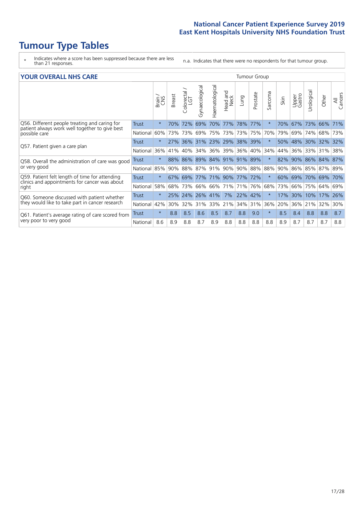# **Tumour Type Tables**

- \* Indicates where a score has been suppressed because there are less than 21 responses.
- n.a. Indicates that there were no respondents for that tumour group.

|  | <b>YOUR OVERALL NHS CARE</b> |  |  |
|--|------------------------------|--|--|
|--|------------------------------|--|--|

| <b>YOUR OVERALL NHS CARE</b>                                                                                     | <b>Tumour Group</b> |         |               |                     |                |                         |                         |         |          |                      |      |                 |               |                 |                |
|------------------------------------------------------------------------------------------------------------------|---------------------|---------|---------------|---------------------|----------------|-------------------------|-------------------------|---------|----------|----------------------|------|-----------------|---------------|-----------------|----------------|
|                                                                                                                  |                     | Brain   | <b>Breast</b> | Colorectal /<br>LGT | Gynaecological | Haematological          | aad and<br>Neck<br>Head | Lung    | Prostate | arcoma<br>$\sqrt{ }$ | Skin | Upper<br>Gastro | ී<br>Urologia | Other           | All<br>Cancers |
| Q56. Different people treating and caring for<br>patient always work well together to give best<br>possible care | Trust               | $\star$ | 70%           | 72%                 | 69%            | 70%                     | 77%                     | 78%     | 77%      | $\ast$               | 70%  | 67%             | 73%           | 66%             | 71%            |
|                                                                                                                  | National            | 60%     | 73%           | 73%                 | 69%            | 75%                     | 73%                     | 73%     | 75%      | 70%                  | 79%  | 69%             | 74%           | 68%             | 73%            |
| Q57. Patient given a care plan                                                                                   | Trust               | $\star$ | 27%           |                     |                | 36% 31% 23% 29% 38% 39% |                         |         |          | $\ast$               | 50%  | 48%             | 30% 32%       |                 | 32%            |
|                                                                                                                  | National            | 36%     | 41%           | 40%                 | 34%            | 36%                     | 39%                     | 36% 40% |          | 34%                  | 44%  |                 |               | 36% 33% 31%     | 38%            |
| Q58. Overall the administration of care was good                                                                 | Trust               | $\star$ | 88%           | 86%                 |                | 89% 84%                 | 91%                     | 91% 89% |          | $\ast$               | 82%  | 90%             | 86%           | 84%             | 87%            |
| or very good                                                                                                     | National            | 85%     | 90%           | 88%                 | 87%            | 91%                     | 90%                     | 90% 88% |          | 88%                  | 90%  |                 |               | 86% 85% 87%     | 89%            |
| Q59. Patient felt length of time for attending                                                                   | <b>Trust</b>        | $\star$ | 67%           | 69%                 | 77%            | 71% 90%                 |                         | 77% 72% |          | $\star$              | 60%  | 69%             | 70%           | 69%             | 70%            |
| clinics and appointments for cancer was about<br>right                                                           | National            | 58%     |               | 68% 73%             |                | 66% 66% 71%             |                         | 71% 76% |          | 68%                  | 73%  |                 |               | 66%   75%   64% | 69%            |
| Q60. Someone discussed with patient whether                                                                      | Trust               | $\star$ |               | 25% 24%             | 26% 41%        |                         | 7%                      | 22% 42% |          | $\ast$               | 17%  | 30%             | 10%           | 17%             | 26%            |
| they would like to take part in cancer research                                                                  | National            | 42%     | 30%           | 32%                 | 31%            | 33%                     | 21%                     | 34%     | 31%      | 36%                  | 20%  | 36%             | 21%           | 32%             | 30%            |
| Q61. Patient's average rating of care scored from<br>very poor to very good                                      | Trust               | $\star$ | 8.8           | 8.5                 | 8.6            | 8.5                     | 8.7                     | 8.8     | 9.0      | $\star$              | 8.5  | 8.4             | 8.8           | 8.8             | 8.7            |
|                                                                                                                  | National            | 8.6     | 8.9           | 8.8                 | 8.7            | 8.9                     | 8.8                     | 8.8     | 8.8      | 8.8                  | 8.9  | 8.7             | 8.7           | 8.7             | 8.8            |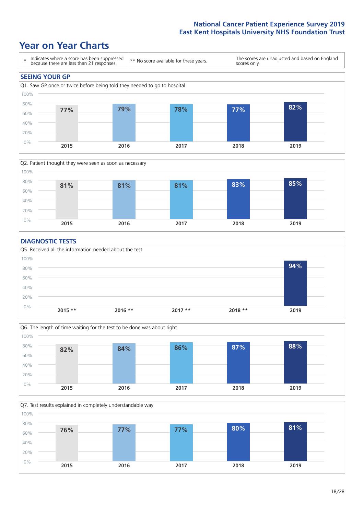### **Year on Year Charts**





#### **DIAGNOSTIC TESTS**





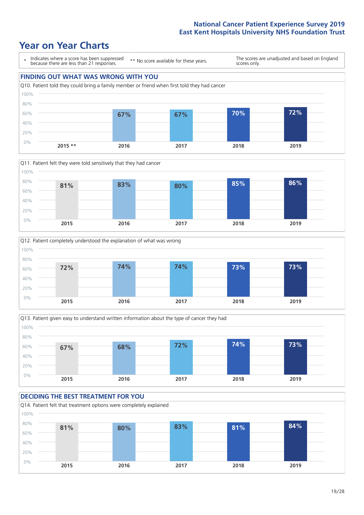







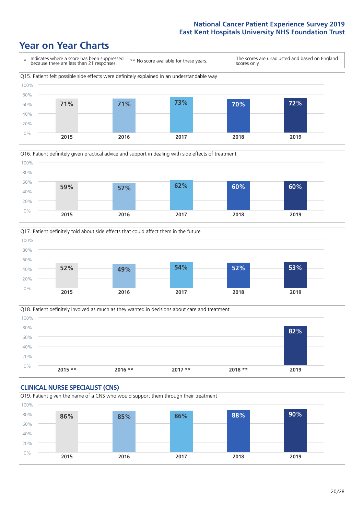





Q18. Patient definitely involved as much as they wanted in decisions about care and treatment  $0%$ 20% 40% 60% 80% 100% **2015 \*\* 2016 \*\* 2017 \*\* 2018 \*\* 2019 82%**

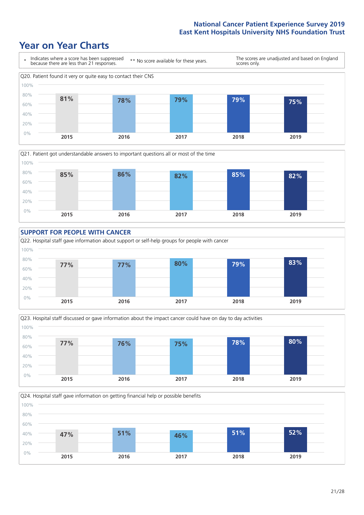









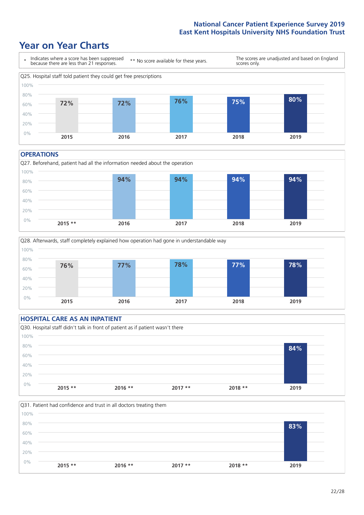### **Year on Year Charts**



#### **OPERATIONS**







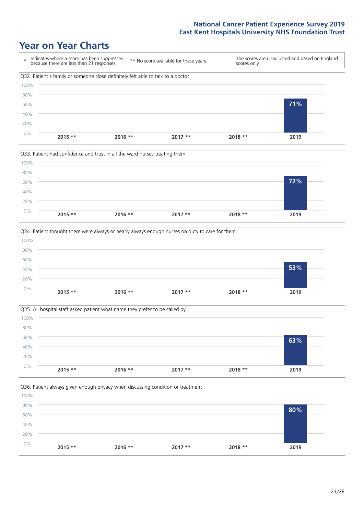







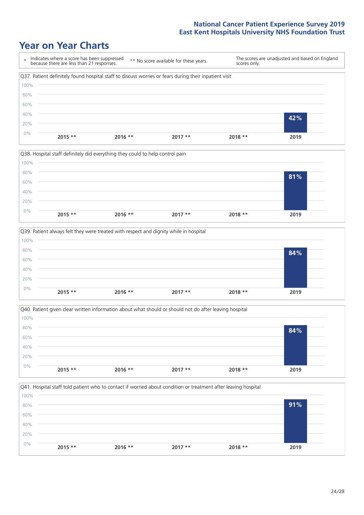







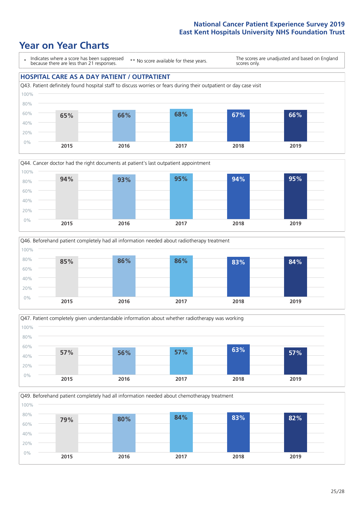







Q49. Beforehand patient completely had all information needed about chemotherapy treatment 100%

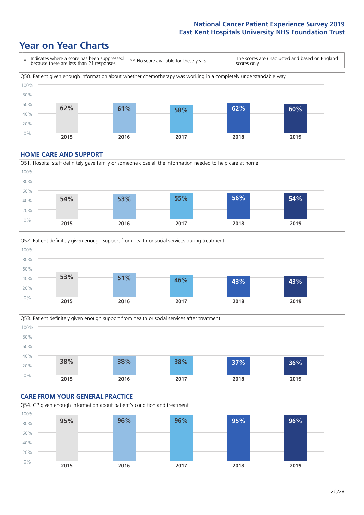### **Year on Year Charts**



#### **HOME CARE AND SUPPORT**







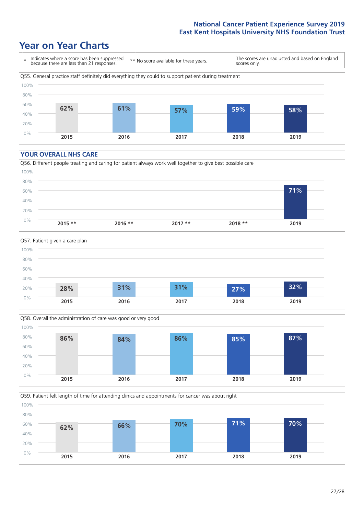### **Year on Year Charts**



#### **YOUR OVERALL NHS CARE**







Q59. Patient felt length of time for attending clinics and appointments for cancer was about right 100%